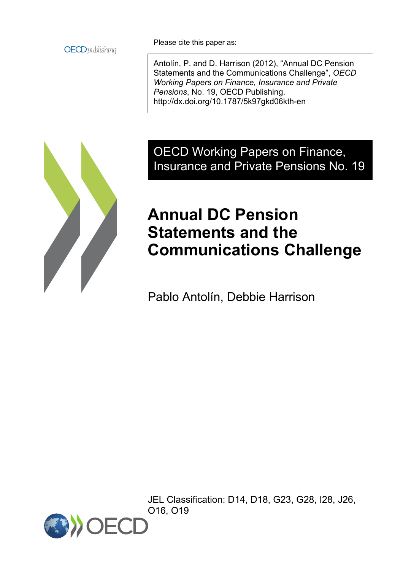

Please cite this paper as:

Antolín, P. and D. Harrison (2012), "Annual DC Pension Statements and the Communications Challenge", *OECD Working Papers on Finance, Insurance and Private Pensions*, No. 19, OECD Publishing. <http://dx.doi.org/10.1787/5k97gkd06kth-en>



OECD Working Papers on Finance, Insurance and Private Pensions No. 19

# **Annual DC Pension Statements and the Communications Challenge**

Pablo Antolín, Debbie Harrison

JEL Classification: D14, D18, G23, G28, I28, J26, O16, O19

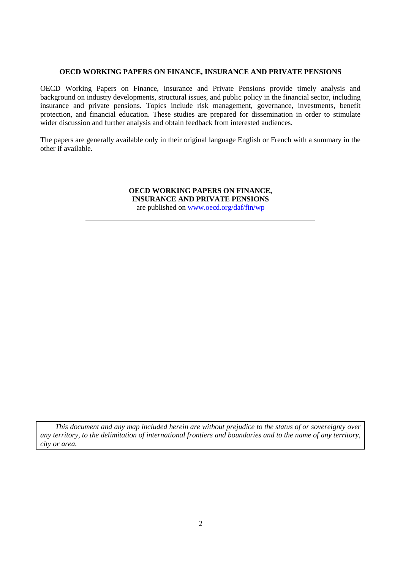## **OECD WORKING PAPERS ON FINANCE, INSURANCE AND PRIVATE PENSIONS**

OECD Working Papers on Finance, Insurance and Private Pensions provide timely analysis and background on industry developments, structural issues, and public policy in the financial sector, including insurance and private pensions. Topics include risk management, governance, investments, benefit protection, and financial education. These studies are prepared for dissemination in order to stimulate wider discussion and further analysis and obtain feedback from interested audiences.

The papers are generally available only in their original language English or French with a summary in the other if available.

> **OECD WORKING PAPERS ON FINANCE, INSURANCE AND PRIVATE PENSIONS** are published on [www.oecd.org/daf/fin/wp](http://www.oecd.org/daf/fin/wp)

*This document and any map included herein are without prejudice to the status of or sovereignty over any territory, to the delimitation of international frontiers and boundaries and to the name of any territory, city or area.*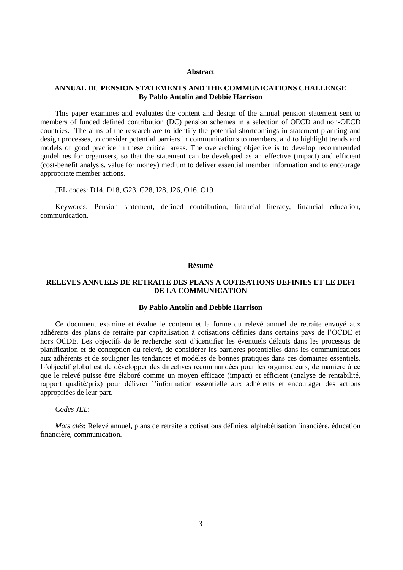### **Abstract**

## **ANNUAL DC PENSION STATEMENTS AND THE COMMUNICATIONS CHALLENGE By Pablo Antolín and Debbie Harrison**

This paper examines and evaluates the content and design of the annual pension statement sent to members of funded defined contribution (DC) pension schemes in a selection of OECD and non-OECD countries. The aims of the research are to identify the potential shortcomings in statement planning and design processes, to consider potential barriers in communications to members, and to highlight trends and models of good practice in these critical areas. The overarching objective is to develop recommended guidelines for organisers, so that the statement can be developed as an effective (impact) and efficient (cost-benefit analysis, value for money) medium to deliver essential member information and to encourage appropriate member actions.

JEL codes: D14, D18, G23, G28, I28, J26, O16, O19

Keywords: Pension statement, defined contribution, financial literacy, financial education, communication.

## **Résumé**

# **RELEVES ANNUELS DE RETRAITE DES PLANS A COTISATIONS DEFINIES ET LE DEFI DE LA COMMUNICATION**

### **By Pablo Antolín and Debbie Harrison**

Ce document examine et évalue le contenu et la forme du relevé annuel de retraite envoyé aux adhérents des plans de retraite par capitalisation à cotisations définies dans certains pays de l"OCDE et hors OCDE. Les objectifs de le recherche sont d"identifier les éventuels défauts dans les processus de planification et de conception du relevé, de considérer les barrières potentielles dans les communications aux adhérents et de souligner les tendances et modèles de bonnes pratiques dans ces domaines essentiels. L"objectif global est de développer des directives recommandées pour les organisateurs, de manière à ce que le relevé puisse être élaboré comme un moyen efficace (impact) et efficient (analyse de rentabilité, rapport qualité/prix) pour délivrer l"information essentielle aux adhérents et encourager des actions appropriées de leur part.

## *Codes JEL*:

*Mots clés*: Relevé annuel, plans de retraite a cotisations définies, alphabétisation financière, éducation financière, communication.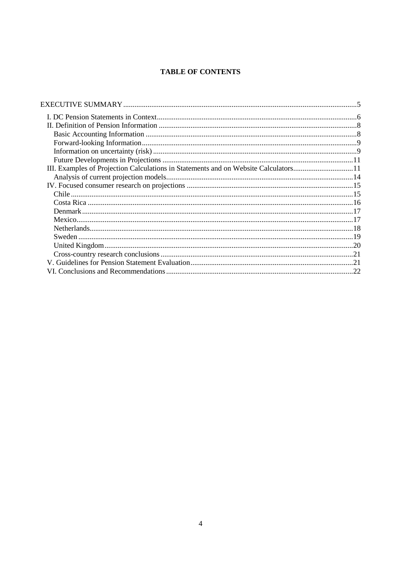# **TABLE OF CONTENTS**

| III. Examples of Projection Calculations in Statements and on Website Calculators11 |  |
|-------------------------------------------------------------------------------------|--|
|                                                                                     |  |
|                                                                                     |  |
|                                                                                     |  |
|                                                                                     |  |
|                                                                                     |  |
|                                                                                     |  |
|                                                                                     |  |
|                                                                                     |  |
|                                                                                     |  |
|                                                                                     |  |
|                                                                                     |  |
|                                                                                     |  |
|                                                                                     |  |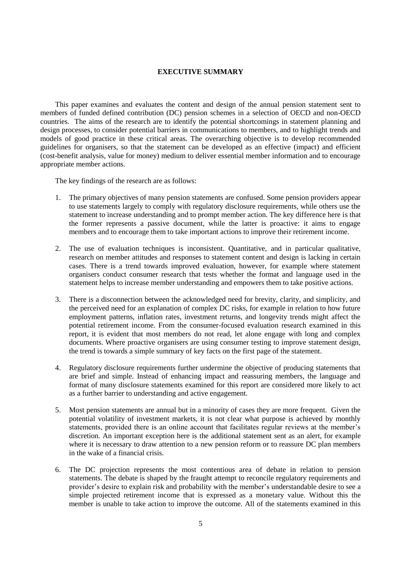## **EXECUTIVE SUMMARY**

<span id="page-4-0"></span>This paper examines and evaluates the content and design of the annual pension statement sent to members of funded defined contribution (DC) pension schemes in a selection of OECD and non-OECD countries. The aims of the research are to identify the potential shortcomings in statement planning and design processes, to consider potential barriers in communications to members, and to highlight trends and models of good practice in these critical areas. The overarching objective is to develop recommended guidelines for organisers, so that the statement can be developed as an effective (impact) and efficient (cost-benefit analysis, value for money) medium to deliver essential member information and to encourage appropriate member actions.

The key findings of the research are as follows:

- 1. The primary objectives of many pension statements are confused. Some pension providers appear to use statements largely to comply with regulatory disclosure requirements, while others use the statement to increase understanding and to prompt member action. The key difference here is that the former represents a passive document, while the latter is proactive: it aims to engage members and to encourage them to take important actions to improve their retirement income.
- 2. The use of evaluation techniques is inconsistent. Quantitative, and in particular qualitative, research on member attitudes and responses to statement content and design is lacking in certain cases. There is a trend towards improved evaluation, however, for example where statement organisers conduct consumer research that tests whether the format and language used in the statement helps to increase member understanding and empowers them to take positive actions.
- 3. There is a disconnection between the acknowledged need for brevity, clarity, and simplicity, and the perceived need for an explanation of complex DC risks, for example in relation to how future employment patterns, inflation rates, investment returns, and longevity trends might affect the potential retirement income. From the consumer-focused evaluation research examined in this report, it is evident that most members do not read, let alone engage with long and complex documents. Where proactive organisers are using consumer testing to improve statement design, the trend is towards a simple summary of key facts on the first page of the statement.
- 4. Regulatory disclosure requirements further undermine the objective of producing statements that are brief and simple. Instead of enhancing impact and reassuring members, the language and format of many disclosure statements examined for this report are considered more likely to act as a further barrier to understanding and active engagement.
- 5. Most pension statements are annual but in a minority of cases they are more frequent. Given the potential volatility of investment markets, it is not clear what purpose is achieved by monthly statements, provided there is an online account that facilitates regular reviews at the member"s discretion. An important exception here is the additional statement sent as an alert, for example where it is necessary to draw attention to a new pension reform or to reassure DC plan members in the wake of a financial crisis.
- 6. The DC projection represents the most contentious area of debate in relation to pension statements. The debate is shaped by the fraught attempt to reconcile regulatory requirements and provider"s desire to explain risk and probability with the member"s understandable desire to see a simple projected retirement income that is expressed as a monetary value. Without this the member is unable to take action to improve the outcome. All of the statements examined in this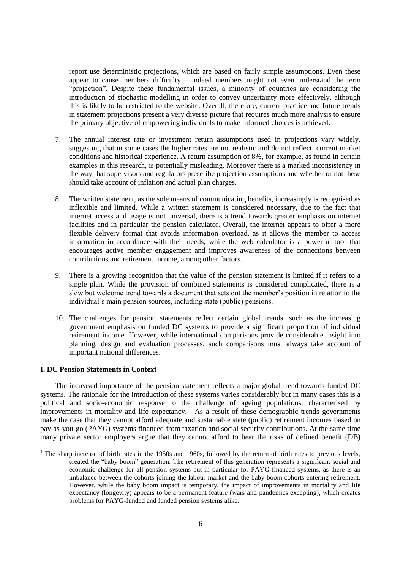report use deterministic projections, which are based on fairly simple assumptions. Even these appear to cause members difficulty – indeed members might not even understand the term "projection". Despite these fundamental issues, a minority of countries are considering the introduction of stochastic modelling in order to convey uncertainty more effectively, although this is likely to be restricted to the website. Overall, therefore, current practice and future trends in statement projections present a very diverse picture that requires much more analysis to ensure the primary objective of empowering individuals to make informed choices is achieved.

- 7. The annual interest rate or investment return assumptions used in projections vary widely, suggesting that in some cases the higher rates are not realistic and do not reflect current market conditions and historical experience. A return assumption of 8%, for example, as found in certain examples in this research, is potentially misleading. Moreover there is a marked inconsistency in the way that supervisors and regulators prescribe projection assumptions and whether or not these should take account of inflation and actual plan charges.
- 8. The written statement, as the sole means of communicating benefits, increasingly is recognised as inflexible and limited. While a written statement is considered necessary, due to the fact that internet access and usage is not universal, there is a trend towards greater emphasis on internet facilities and in particular the pension calculator. Overall, the internet appears to offer a more flexible delivery format that avoids information overload, as it allows the member to access information in accordance with their needs, while the web calculator is a powerful tool that encourages active member engagement and improves awareness of the connections between contributions and retirement income, among other factors.
- 9. There is a growing recognition that the value of the pension statement is limited if it refers to a single plan. While the provision of combined statements is considered complicated, there is a slow but welcome trend towards a document that sets out the member"s position in relation to the individual"s main pension sources, including state (public) pensions.
- 10. The challenges for pension statements reflect certain global trends, such as the increasing government emphasis on funded DC systems to provide a significant proportion of individual retirement income. However, while international comparisons provide considerable insight into planning, design and evaluation processes, such comparisons must always take account of important national differences.

# <span id="page-5-0"></span>**I. DC Pension Statements in Context**

 $\overline{a}$ 

The increased importance of the pension statement reflects a major global trend towards funded DC systems. The rationale for the introduction of these systems varies considerably but in many cases this is a political and socio-economic response to the challenge of ageing populations, characterised by improvements in mortality and life expectancy.<sup>1</sup> As a result of these demographic trends governments make the case that they cannot afford adequate and sustainable state (public) retirement incomes based on pay-as-you-go (PAYG) systems financed from taxation and social security contributions. At the same time many private sector employers argue that they cannot afford to bear the risks of defined benefit (DB)

<sup>&</sup>lt;sup>1</sup> The sharp increase of birth rates in the 1950s and 1960s, followed by the return of birth rates to previous levels, created the "baby boom" generation. The retirement of this generation represents a significant social and economic challenge for all pension systems but in particular for PAYG-financed systems, as there is an imbalance between the cohorts joining the labour market and the baby boom cohorts entering retirement. However, while the baby boom impact is temporary, the impact of improvements in mortality and life expectancy (longevity) appears to be a permanent feature (wars and pandemics excepting), which creates problems for PAYG-funded and funded pension systems alike.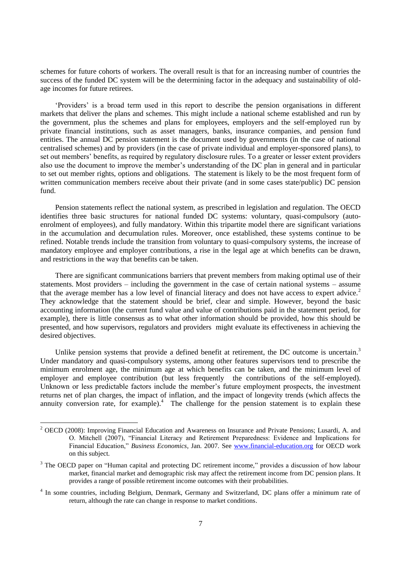schemes for future cohorts of workers. The overall result is that for an increasing number of countries the success of the funded DC system will be the determining factor in the adequacy and sustainability of oldage incomes for future retirees.

"Providers" is a broad term used in this report to describe the pension organisations in different markets that deliver the plans and schemes. This might include a national scheme established and run by the government, plus the schemes and plans for employees, employers and the self-employed run by private financial institutions, such as asset managers, banks, insurance companies, and pension fund entities. The annual DC pension statement is the document used by governments (in the case of national centralised schemes) and by providers (in the case of private individual and employer-sponsored plans), to set out members' benefits, as required by regulatory disclosure rules. To a greater or lesser extent providers also use the document to improve the member"s understanding of the DC plan in general and in particular to set out member rights, options and obligations. The statement is likely to be the most frequent form of written communication members receive about their private (and in some cases state/public) DC pension fund.

Pension statements reflect the national system, as prescribed in legislation and regulation. The OECD identifies three basic structures for national funded DC systems: voluntary, quasi-compulsory (autoenrolment of employees), and fully mandatory. Within this tripartite model there are significant variations in the accumulation and decumulation rules. Moreover, once established, these systems continue to be refined. Notable trends include the transition from voluntary to quasi-compulsory systems, the increase of mandatory employee and employer contributions, a rise in the legal age at which benefits can be drawn, and restrictions in the way that benefits can be taken.

There are significant communications barriers that prevent members from making optimal use of their statements. Most providers – including the government in the case of certain national systems – assume that the average member has a low level of financial literacy and does not have access to expert advice.<sup>2</sup> They acknowledge that the statement should be brief, clear and simple. However, beyond the basic accounting information (the current fund value and value of contributions paid in the statement period, for example), there is little consensus as to what other information should be provided, how this should be presented, and how supervisors, regulators and providers might evaluate its effectiveness in achieving the desired objectives.

Unlike pension systems that provide a defined benefit at retirement, the DC outcome is uncertain.<sup>3</sup> Under mandatory and quasi-compulsory systems, among other features supervisors tend to prescribe the minimum enrolment age, the minimum age at which benefits can be taken, and the minimum level of employer and employee contribution (but less frequently the contributions of the self-employed). Unknown or less predictable factors include the member"s future employment prospects, the investment returns net of plan charges, the impact of inflation, and the impact of longevity trends (which affects the annuity conversion rate, for example).<sup>4</sup> The challenge for the pension statement is to explain these

 $2$  OECD (2008): Improving Financial Education and Awareness on Insurance and Private Pensions; Lusardi, A. and O. Mitchell (2007), "Financial Literacy and Retirement Preparedness: Evidence and Implications for Financial Education," *Business Economics*, Jan. 2007. See [www.financial-education.org](http://www.financial-education.org/) for OECD work on this subject.

<sup>&</sup>lt;sup>3</sup> The OECD paper on "Human capital and protecting DC retirement income," provides a discussion of how labour market, financial market and demographic risk may affect the retirement income from DC pension plans. It provides a range of possible retirement income outcomes with their probabilities.

<sup>4</sup> In some countries, including Belgium, Denmark, Germany and Switzerland, DC plans offer a minimum rate of return, although the rate can change in response to market conditions.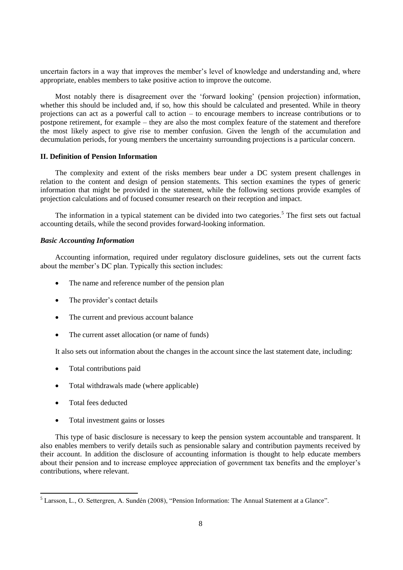uncertain factors in a way that improves the member"s level of knowledge and understanding and, where appropriate, enables members to take positive action to improve the outcome.

Most notably there is disagreement over the 'forward looking' (pension projection) information, whether this should be included and, if so, how this should be calculated and presented. While in theory projections can act as a powerful call to action – to encourage members to increase contributions or to postpone retirement, for example – they are also the most complex feature of the statement and therefore the most likely aspect to give rise to member confusion. Given the length of the accumulation and decumulation periods, for young members the uncertainty surrounding projections is a particular concern.

## <span id="page-7-0"></span>**II. Definition of Pension Information**

The complexity and extent of the risks members bear under a DC system present challenges in relation to the content and design of pension statements. This section examines the types of generic information that might be provided in the statement, while the following sections provide examples of projection calculations and of focused consumer research on their reception and impact.

The information in a typical statement can be divided into two categories.<sup>5</sup> The first sets out factual accounting details, while the second provides forward-looking information.

## <span id="page-7-1"></span>*Basic Accounting Information*

Accounting information, required under regulatory disclosure guidelines, sets out the current facts about the member"s DC plan. Typically this section includes:

- The name and reference number of the pension plan
- The provider's contact details
- The current and previous account balance
- The current asset allocation (or name of funds)

It also sets out information about the changes in the account since the last statement date, including:

- Total contributions paid
- Total withdrawals made (where applicable)
- Total fees deducted

 $\overline{a}$ 

Total investment gains or losses

This type of basic disclosure is necessary to keep the pension system accountable and transparent. It also enables members to verify details such as pensionable salary and contribution payments received by their account. In addition the disclosure of accounting information is thought to help educate members about their pension and to increase employee appreciation of government tax benefits and the employer's contributions, where relevant.

<sup>5</sup> Larsson, L., O. Settergren, A. Sundén (2008), "Pension Information: The Annual Statement at a Glance".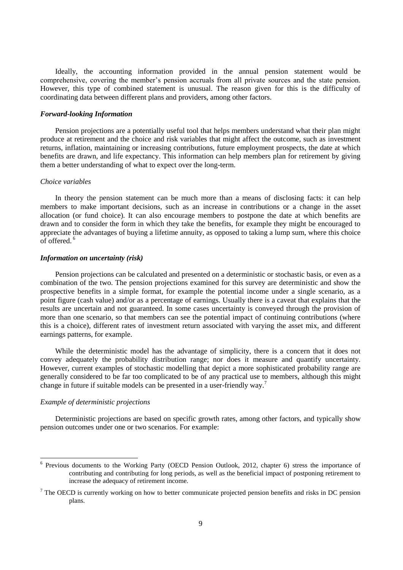Ideally, the accounting information provided in the annual pension statement would be comprehensive, covering the member"s pension accruals from all private sources and the state pension. However, this type of combined statement is unusual. The reason given for this is the difficulty of coordinating data between different plans and providers, among other factors.

## <span id="page-8-0"></span>*Forward-looking Information*

Pension projections are a potentially useful tool that helps members understand what their plan might produce at retirement and the choice and risk variables that might affect the outcome, such as investment returns, inflation, maintaining or increasing contributions, future employment prospects, the date at which benefits are drawn, and life expectancy. This information can help members plan for retirement by giving them a better understanding of what to expect over the long-term.

## *Choice variables*

In theory the pension statement can be much more than a means of disclosing facts: it can help members to make important decisions, such as an increase in contributions or a change in the asset allocation (or fund choice). It can also encourage members to postpone the date at which benefits are drawn and to consider the form in which they take the benefits, for example they might be encouraged to appreciate the advantages of buying a lifetime annuity, as opposed to taking a lump sum, where this choice of offered. <sup>6</sup>

## <span id="page-8-1"></span>*Information on uncertainty (risk)*

Pension projections can be calculated and presented on a deterministic or stochastic basis, or even as a combination of the two. The pension projections examined for this survey are deterministic and show the prospective benefits in a simple format, for example the potential income under a single scenario, as a point figure (cash value) and/or as a percentage of earnings. Usually there is a caveat that explains that the results are uncertain and not guaranteed. In some cases uncertainty is conveyed through the provision of more than one scenario, so that members can see the potential impact of continuing contributions (where this is a choice), different rates of investment return associated with varying the asset mix, and different earnings patterns, for example.

While the deterministic model has the advantage of simplicity, there is a concern that it does not convey adequately the probability distribution range; nor does it measure and quantify uncertainty. However, current examples of stochastic modelling that depict a more sophisticated probability range are generally considered to be far too complicated to be of any practical use to members, although this might change in future if suitable models can be presented in a user-friendly way.<sup>7</sup>

#### *Example of deterministic projections*

 $\overline{a}$ 

Deterministic projections are based on specific growth rates, among other factors, and typically show pension outcomes under one or two scenarios. For example:

<sup>&</sup>lt;sup>6</sup> Previous documents to the Working Party (OECD Pension Outlook, 2012, chapter 6) stress the importance of contributing and contributing for long periods, as well as the beneficial impact of postponing retirement to increase the adequacy of retirement income.

 $7$  The OECD is currently working on how to better communicate projected pension benefits and risks in DC pension plans.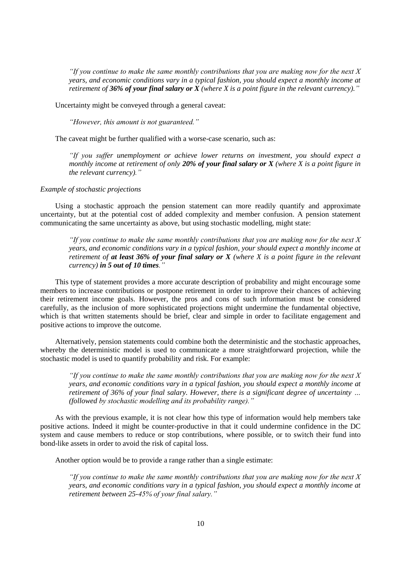*"If you continue to make the same monthly contributions that you are making now for the next X years, and economic conditions vary in a typical fashion, you should expect a monthly income at retirement of 36% of your final salary or X (where X is a point figure in the relevant currency)."* 

Uncertainty might be conveyed through a general caveat:

*"However, this amount is not guaranteed."* 

The caveat might be further qualified with a worse-case scenario, such as:

*"If you suffer unemployment or achieve lower returns on investment, you should expect a monthly income at retirement of only 20% of your final salary or X (where X is a point figure in the relevant currency)."* 

## *Example of stochastic projections*

Using a stochastic approach the pension statement can more readily quantify and approximate uncertainty, but at the potential cost of added complexity and member confusion. A pension statement communicating the same uncertainty as above, but using stochastic modelling, might state:

*"If you continue to make the same monthly contributions that you are making now for the next X years, and economic conditions vary in a typical fashion, your should expect a monthly income at retirement of at least 36% of your final salary or X (where X is a point figure in the relevant currency) in 5 out of 10 times."* 

This type of statement provides a more accurate description of probability and might encourage some members to increase contributions or postpone retirement in order to improve their chances of achieving their retirement income goals. However, the pros and cons of such information must be considered carefully, as the inclusion of more sophisticated projections might undermine the fundamental objective, which is that written statements should be brief, clear and simple in order to facilitate engagement and positive actions to improve the outcome.

Alternatively, pension statements could combine both the deterministic and the stochastic approaches, whereby the deterministic model is used to communicate a more straightforward projection, while the stochastic model is used to quantify probability and risk. For example:

*"If you continue to make the same monthly contributions that you are making now for the next X years, and economic conditions vary in a typical fashion, you should expect a monthly income at retirement of 36% of your final salary. However, there is a significant degree of uncertainty … (followed by stochastic modelling and its probability range)."* 

As with the previous example, it is not clear how this type of information would help members take positive actions. Indeed it might be counter-productive in that it could undermine confidence in the DC system and cause members to reduce or stop contributions, where possible, or to switch their fund into bond-like assets in order to avoid the risk of capital loss.

Another option would be to provide a range rather than a single estimate:

*"If you continue to make the same monthly contributions that you are making now for the next X years, and economic conditions vary in a typical fashion, you should expect a monthly income at retirement between 25-45% of your final salary."*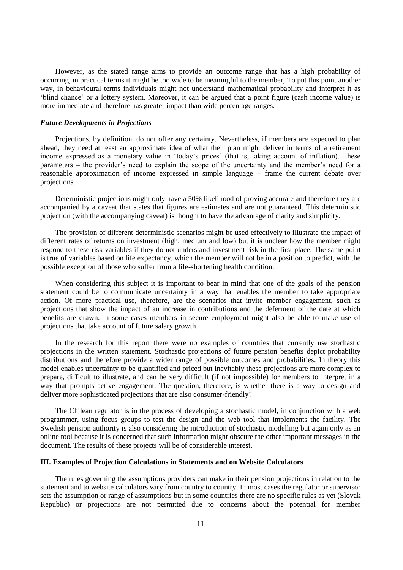However, as the stated range aims to provide an outcome range that has a high probability of occurring, in practical terms it might be too wide to be meaningful to the member, To put this point another way, in behavioural terms individuals might not understand mathematical probability and interpret it as "blind chance" or a lottery system. Moreover, it can be argued that a point figure (cash income value) is more immediate and therefore has greater impact than wide percentage ranges.

## <span id="page-10-0"></span>*Future Developments in Projections*

Projections, by definition, do not offer any certainty. Nevertheless, if members are expected to plan ahead, they need at least an approximate idea of what their plan might deliver in terms of a retirement income expressed as a monetary value in 'today's prices' (that is, taking account of inflation). These parameters – the provider's need to explain the scope of the uncertainty and the member's need for a reasonable approximation of income expressed in simple language – frame the current debate over projections.

Deterministic projections might only have a 50% likelihood of proving accurate and therefore they are accompanied by a caveat that states that figures are estimates and are not guaranteed. This deterministic projection (with the accompanying caveat) is thought to have the advantage of clarity and simplicity.

The provision of different deterministic scenarios might be used effectively to illustrate the impact of different rates of returns on investment (high, medium and low) but it is unclear how the member might respond to these risk variables if they do not understand investment risk in the first place. The same point is true of variables based on life expectancy, which the member will not be in a position to predict, with the possible exception of those who suffer from a life-shortening health condition.

When considering this subject it is important to bear in mind that one of the goals of the pension statement could be to communicate uncertainty in a way that enables the member to take appropriate action. Of more practical use, therefore, are the scenarios that invite member engagement, such as projections that show the impact of an increase in contributions and the deferment of the date at which benefits are drawn. In some cases members in secure employment might also be able to make use of projections that take account of future salary growth.

In the research for this report there were no examples of countries that currently use stochastic projections in the written statement. Stochastic projections of future pension benefits depict probability distributions and therefore provide a wider range of possible outcomes and probabilities. In theory this model enables uncertainty to be quantified and priced but inevitably these projections are more complex to prepare, difficult to illustrate, and can be very difficult (if not impossible) for members to interpret in a way that prompts active engagement. The question, therefore, is whether there is a way to design and deliver more sophisticated projections that are also consumer-friendly?

The Chilean regulator is in the process of developing a stochastic model, in conjunction with a web programmer, using focus groups to test the design and the web tool that implements the facility. The Swedish pension authority is also considering the introduction of stochastic modelling but again only as an online tool because it is concerned that such information might obscure the other important messages in the document. The results of these projects will be of considerable interest.

## <span id="page-10-1"></span>**III. Examples of Projection Calculations in Statements and on Website Calculators**

The rules governing the assumptions providers can make in their pension projections in relation to the statement and to website calculators vary from country to country. In most cases the regulator or supervisor sets the assumption or range of assumptions but in some countries there are no specific rules as yet (Slovak Republic) or projections are not permitted due to concerns about the potential for member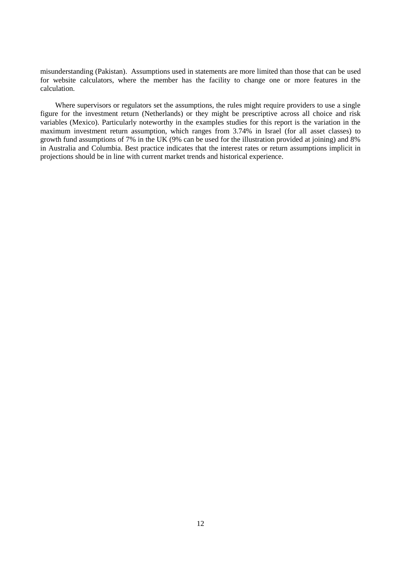misunderstanding (Pakistan). Assumptions used in statements are more limited than those that can be used for website calculators, where the member has the facility to change one or more features in the calculation.

Where supervisors or regulators set the assumptions, the rules might require providers to use a single figure for the investment return (Netherlands) or they might be prescriptive across all choice and risk variables (Mexico). Particularly noteworthy in the examples studies for this report is the variation in the maximum investment return assumption, which ranges from 3.74% in Israel (for all asset classes) to growth fund assumptions of 7% in the UK (9% can be used for the illustration provided at joining) and 8% in Australia and Columbia. Best practice indicates that the interest rates or return assumptions implicit in projections should be in line with current market trends and historical experience.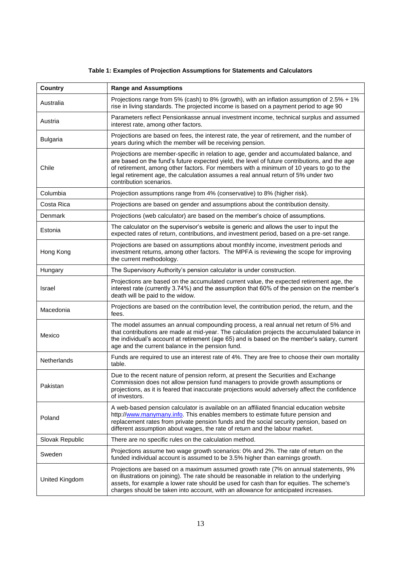| Country            | <b>Range and Assumptions</b>                                                                                                                                                                                                                                                                                                                                                                         |  |
|--------------------|------------------------------------------------------------------------------------------------------------------------------------------------------------------------------------------------------------------------------------------------------------------------------------------------------------------------------------------------------------------------------------------------------|--|
| Australia          | Projections range from 5% (cash) to 8% (growth), with an inflation assumption of 2.5% + 1%<br>rise in living standards. The projected income is based on a payment period to age 90                                                                                                                                                                                                                  |  |
| Austria            | Parameters reflect Pensionkasse annual investment income, technical surplus and assumed<br>interest rate, among other factors.                                                                                                                                                                                                                                                                       |  |
| Bulgaria           | Projections are based on fees, the interest rate, the year of retirement, and the number of<br>years during which the member will be receiving pension.                                                                                                                                                                                                                                              |  |
| Chile              | Projections are member-specific in relation to age, gender and accumulated balance, and<br>are based on the fund's future expected yield, the level of future contributions, and the age<br>of retirement, among other factors. For members with a minimum of 10 years to go to the<br>legal retirement age, the calculation assumes a real annual return of 5% under two<br>contribution scenarios. |  |
| Columbia           | Projection assumptions range from 4% (conservative) to 8% (higher risk).                                                                                                                                                                                                                                                                                                                             |  |
| Costa Rica         | Projections are based on gender and assumptions about the contribution density.                                                                                                                                                                                                                                                                                                                      |  |
| Denmark            | Projections (web calculator) are based on the member's choice of assumptions.                                                                                                                                                                                                                                                                                                                        |  |
| Estonia            | The calculator on the supervisor's website is generic and allows the user to input the<br>expected rates of return, contributions, and investment period, based on a pre-set range.                                                                                                                                                                                                                  |  |
| Hong Kong          | Projections are based on assumptions about monthly income, investment periods and<br>investment returns, among other factors. The MPFA is reviewing the scope for improving<br>the current methodology.                                                                                                                                                                                              |  |
| Hungary            | The Supervisory Authority's pension calculator is under construction.                                                                                                                                                                                                                                                                                                                                |  |
| Israel             | Projections are based on the accumulated current value, the expected retirement age, the<br>interest rate (currently 3.74%) and the assumption that 60% of the pension on the member's<br>death will be paid to the widow.                                                                                                                                                                           |  |
| Macedonia          | Projections are based on the contribution level, the contribution period, the return, and the<br>fees.                                                                                                                                                                                                                                                                                               |  |
| Mexico             | The model assumes an annual compounding process, a real annual net return of 5% and<br>that contributions are made at mid-year. The calculation projects the accumulated balance in<br>the individual's account at retirement (age 65) and is based on the member's salary, current<br>age and the current balance in the pension fund.                                                              |  |
| <b>Netherlands</b> | Funds are required to use an interest rate of 4%. They are free to choose their own mortality<br>table.                                                                                                                                                                                                                                                                                              |  |
| Pakistan           | Due to the recent nature of pension reform, at present the Securities and Exchange<br>Commission does not allow pension fund managers to provide growth assumptions or<br>projections, as it is feared that inaccurate projections would adversely affect the confidence<br>of investors.                                                                                                            |  |
| Poland             | A web-based pension calculator is available on an affiliated financial education website<br>http://www.manymany.info. This enables members to estimate future pension and<br>replacement rates from private pension funds and the social security pension, based on<br>different assumption about wages, the rate of return and the labour market.                                                   |  |
| Slovak Republic    | There are no specific rules on the calculation method.                                                                                                                                                                                                                                                                                                                                               |  |
| Sweden             | Projections assume two wage growth scenarios: 0% and 2%. The rate of return on the<br>funded individual account is assumed to be 3.5% higher than earnings growth.                                                                                                                                                                                                                                   |  |
| United Kingdom     | Projections are based on a maximum assumed growth rate (7% on annual statements, 9%<br>on illustrations on joining). The rate should be reasonable in relation to the underlying<br>assets, for example a lower rate should be used for cash than for equities. The scheme's<br>charges should be taken into account, with an allowance for anticipated increases.                                   |  |

# **Table 1: Examples of Projection Assumptions for Statements and Calculators**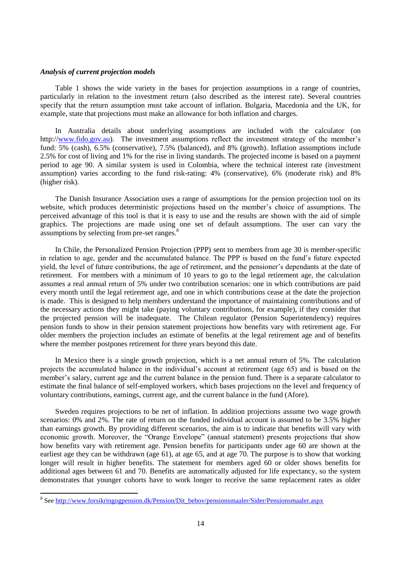## <span id="page-13-0"></span>*Analysis of current projection models*

 $\overline{a}$ 

Table 1 shows the wide variety in the bases for projection assumptions in a range of countries, particularly in relation to the investment return (also described as the interest rate). Several countries specify that the return assumption must take account of inflation. Bulgaria, Macedonia and the UK, for example, state that projections must make an allowance for both inflation and charges.

In Australia details about underlying assumptions are included with the calculator (on http:/[/www.fido.gov.au\)](http://www.fido.gov.au/).The investment assumptions reflect the investment strategy of the member"s fund: 5% (cash), 6.5% (conservative), 7.5% (balanced), and 8% (growth). Inflation assumptions include 2.5% for cost of living and 1% for the rise in living standards. The projected income is based on a payment period to age 90. A similar system is used in Colombia, where the technical interest rate (investment assumption) varies according to the fund risk-rating: 4% (conservative), 6% (moderate risk) and 8% (higher risk).

The Danish Insurance Association uses a range of assumptions for the pension projection tool on its website, which produces deterministic projections based on the member"s choice of assumptions. The perceived advantage of this tool is that it is easy to use and the results are shown with the aid of simple graphics. The projections are made using one set of default assumptions. The user can vary the assumptions by selecting from pre-set ranges.<sup>8</sup>

In Chile, the Personalized Pension Projection (PPP) sent to members from age 30 is member-specific in relation to age, gender and the accumulated balance. The PPP is based on the fund"s future expected yield, the level of future contributions, the age of retirement, and the pensioner"s dependants at the date of retirement. For members with a minimum of 10 years to go to the legal retirement age, the calculation assumes a real annual return of 5% under two contribution scenarios: one in which contributions are paid every month until the legal retirement age, and one in which contributions cease at the date the projection is made. This is designed to help members understand the importance of maintaining contributions and of the necessary actions they might take (paying voluntary contributions, for example), if they consider that the projected pension will be inadequate. The Chilean regulator (Pension Superintendency) requires pension funds to show in their pension statement projections how benefits vary with retirement age. For older members the projection includes an estimate of benefits at the legal retirement age and of benefits where the member postpones retirement for three years beyond this date.

In Mexico there is a single growth projection, which is a net annual return of 5%. The calculation projects the accumulated balance in the individual"s account at retirement (age 65) and is based on the member"s salary, current age and the current balance in the pension fund. There is a separate calculator to estimate the final balance of self-employed workers, which bases projections on the level and frequency of voluntary contributions, earnings, current age, and the current balance in the fund (Afore).

Sweden requires projections to be net of inflation. In addition projections assume two wage growth scenarios: 0% and 2%. The rate of return on the funded individual account is assumed to be 3.5% higher than earnings growth. By providing different scenarios, the aim is to indicate that benefits will vary with economic growth. Moreover, the "Orange Envelope" (annual statement) presents projections that show how benefits vary with retirement age. Pension benefits for participants under age 60 are shown at the earliest age they can be withdrawn (age 61), at age 65, and at age 70. The purpose is to show that working longer will result in higher benefits. The statement for members aged 60 or older shows benefits for additional ages between 61 and 70. Benefits are automatically adjusted for life expectancy, so the system demonstrates that younger cohorts have to work longer to receive the same replacement rates as older

<sup>&</sup>lt;sup>8</sup> See [http://www.forsikringogpension.dk/Pension/Dit\\_behov/pensionsmaaler/Sider/Pensionsmaaler.aspx](http://www.forsikringogpension.dk/Pension/Dit_behov/pensionsmaaler/Sider/Pensionsmaaler.aspx)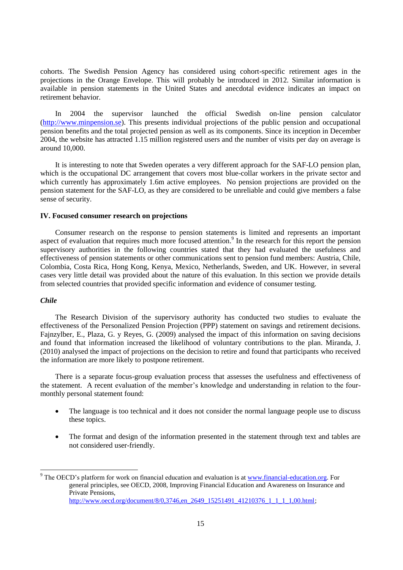cohorts. The Swedish Pension Agency has considered using cohort-specific retirement ages in the projections in the Orange Envelope. This will probably be introduced in 2012. Similar information is available in pension statements in the United States and anecdotal evidence indicates an impact on retirement behavior.

In 2004 the supervisor launched the official Swedish on-line pension calculator [\(http://www.minpension.se\)](http://www.minpension.se/). This presents individual projections of the public pension and occupational pension benefits and the total projected pension as well as its components. Since its inception in December 2004, the website has attracted 1.15 million registered users and the number of visits per day on average is around 10,000.

It is interesting to note that Sweden operates a very different approach for the SAF-LO pension plan, which is the occupational DC arrangement that covers most blue-collar workers in the private sector and which currently has approximately 1.6m active employees. No pension projections are provided on the pension statement for the SAF-LO, as they are considered to be unreliable and could give members a false sense of security.

### <span id="page-14-0"></span>**IV. Focused consumer research on projections**

Consumer research on the response to pension statements is limited and represents an important aspect of evaluation that requires much more focused attention.<sup>9</sup> In the research for this report the pension supervisory authorities in the following countries stated that they had evaluated the usefulness and effectiveness of pension statements or other communications sent to pension fund members: Austria, Chile, Colombia, Costa Rica, Hong Kong, Kenya, Mexico, Netherlands, Sweden, and UK. However, in several cases very little detail was provided about the nature of this evaluation. In this section we provide details from selected countries that provided specific information and evidence of consumer testing.

# <span id="page-14-1"></span>*Chile*

 $\overline{a}$ 

The Research Division of the supervisory authority has conducted two studies to evaluate the effectiveness of the Personalized Pension Projection (PPP) statement on savings and retirement decisions. Fajnzylber, E., Plaza, G. y Reyes, G. (2009) analysed the impact of this information on saving decisions and found that information increased the likelihood of voluntary contributions to the plan. Miranda, J. (2010) analysed the impact of projections on the decision to retire and found that participants who received the information are more likely to postpone retirement.

There is a separate focus-group evaluation process that assesses the usefulness and effectiveness of the statement. A recent evaluation of the member"s knowledge and understanding in relation to the fourmonthly personal statement found:

- The language is too technical and it does not consider the normal language people use to discuss these topics.
- The format and design of the information presented in the statement through text and tables are not considered user-friendly.

<sup>&</sup>lt;sup>9</sup> The OECD's platform for work on financial education and evaluation is at [www.financial-education.org.](http://www.financial-education.org/) For general principles, see OECD, 2008, Improving Financial Education and Awareness on Insurance and Private Pensions, [http://www.oecd.org/document/8/0,3746,en\\_2649\\_15251491\\_41210376\\_1\\_1\\_1\\_1,00.html;](http://www.oecd.org/document/8/0,3746,en_2649_15251491_41210376_1_1_1_1,00.html)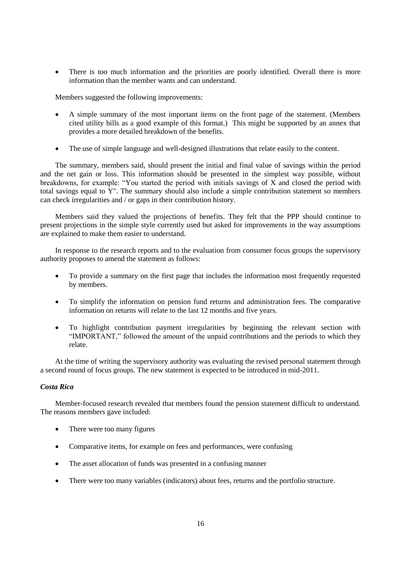• There is too much information and the priorities are poorly identified. Overall there is more information than the member wants and can understand.

Members suggested the following improvements:

- A simple summary of the most important items on the front page of the statement. (Members cited utility bills as a good example of this format.) This might be supported by an annex that provides a more detailed breakdown of the benefits.
- The use of simple language and well-designed illustrations that relate easily to the content.

The summary, members said, should present the initial and final value of savings within the period and the net gain or loss. This information should be presented in the simplest way possible, without breakdowns, for example: "You started the period with initials savings of X and closed the period with total savings equal to  $\hat{Y}$ ". The summary should also include a simple contribution statement so members can check irregularities and / or gaps in their contribution history.

Members said they valued the projections of benefits. They felt that the PPP should continue to present projections in the simple style currently used but asked for improvements in the way assumptions are explained to make them easier to understand.

In response to the research reports and to the evaluation from consumer focus groups the supervisory authority proposes to amend the statement as follows:

- To provide a summary on the first page that includes the information most frequently requested by members.
- To simplify the information on pension fund returns and administration fees. The comparative information on returns will relate to the last 12 months and five years.
- To highlight contribution payment irregularities by beginning the relevant section with "IMPORTANT," followed the amount of the unpaid contributions and the periods to which they relate.

At the time of writing the supervisory authority was evaluating the revised personal statement through a second round of focus groups. The new statement is expected to be introduced in mid-2011.

# <span id="page-15-0"></span>*Costa Rica*

Member-focused research revealed that members found the pension statement difficult to understand. The reasons members gave included:

- There were too many figures
- Comparative items, for example on fees and performances, were confusing
- The asset allocation of funds was presented in a confusing manner
- There were too many variables (indicators) about fees, returns and the portfolio structure.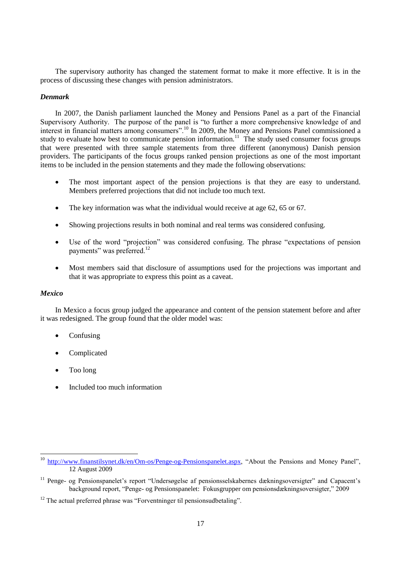The supervisory authority has changed the statement format to make it more effective. It is in the process of discussing these changes with pension administrators.

## <span id="page-16-0"></span>*Denmark*

In 2007, the Danish parliament launched the Money and Pensions Panel as a part of the Financial Supervisory Authority. The purpose of the panel is "to further a more comprehensive knowledge of and interest in financial matters among consumers".<sup>10</sup> In 2009, the Money and Pensions Panel commissioned a study to evaluate how best to communicate pension information.<sup>11</sup> The study used consumer focus groups that were presented with three sample statements from three different (anonymous) Danish pension providers. The participants of the focus groups ranked pension projections as one of the most important items to be included in the pension statements and they made the following observations:

- The most important aspect of the pension projections is that they are easy to understand. Members preferred projections that did not include too much text.
- The key information was what the individual would receive at age 62, 65 or 67.
- Showing projections results in both nominal and real terms was considered confusing.
- Use of the word "projection" was considered confusing. The phrase "expectations of pension payments" was preferred.<sup>12</sup>
- Most members said that disclosure of assumptions used for the projections was important and that it was appropriate to express this point as a caveat.

# <span id="page-16-1"></span>*Mexico*

In Mexico a focus group judged the appearance and content of the pension statement before and after it was redesigned. The group found that the older model was:

- Confusing
- Complicated
- Too long
- Included too much information

 $10\,$ [http://www.finanstilsynet.dk/en/Om-os/Penge-og-Pensionspanelet.aspx,](http://www.finanstilsynet.dk/en/Om-os/Penge-og-Pensionspanelet.aspx) "About the Pensions and Money Panel", 12 August 2009

<sup>&</sup>lt;sup>11</sup> Penge- og Pensionspanelet's report "Undersøgelse af pensionsselskabernes dækningsoversigter" and Capacent's background report, "Penge- og Pensionspanelet: Fokusgrupper om pensionsdækningsoversigter," 2009

 $12$  The actual preferred phrase was "Forventninger til pensionsudbetaling".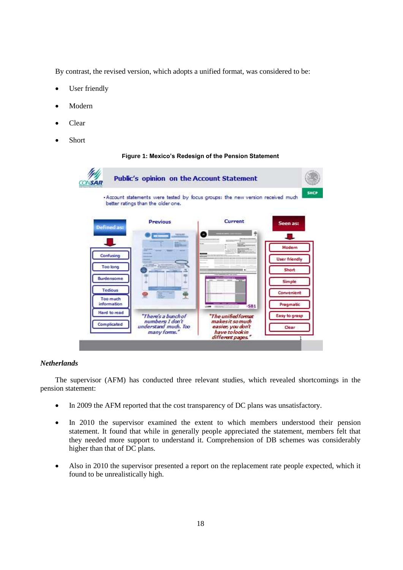By contrast, the revised version, which adopts a unified format, was considered to be:

- User friendly
- Modern
- Clear
- Short



## **Figure 1: Mexico's Redesign of the Pension Statement**

# <span id="page-17-0"></span>*Netherlands*

The supervisor (AFM) has conducted three relevant studies, which revealed shortcomings in the pension statement:

- In 2009 the AFM reported that the cost transparency of DC plans was unsatisfactory.
- In 2010 the supervisor examined the extent to which members understood their pension statement. It found that while in generally people appreciated the statement, members felt that they needed more support to understand it. Comprehension of DB schemes was considerably higher than that of DC plans.
- Also in 2010 the supervisor presented a report on the replacement rate people expected, which it found to be unrealistically high.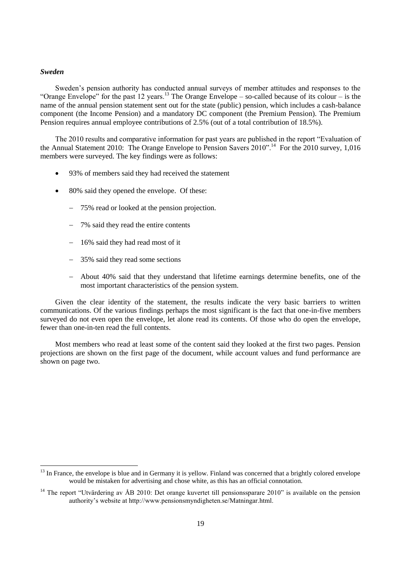## <span id="page-18-0"></span>*Sweden*

 $\overline{a}$ 

Sweden"s pension authority has conducted annual surveys of member attitudes and responses to the "Orange Envelope" for the past 12 years.<sup>13</sup> The Orange Envelope – so-called because of its colour – is the name of the annual pension statement sent out for the state (public) pension, which includes a cash-balance component (the Income Pension) and a mandatory DC component (the Premium Pension). The Premium Pension requires annual employee contributions of 2.5% (out of a total contribution of 18.5%).

The 2010 results and comparative information for past years are published in the report "Evaluation of the Annual Statement 2010: The Orange Envelope to Pension Savers 2010".<sup>14</sup> For the 2010 survey, 1,016 members were surveyed. The key findings were as follows:

- 93% of members said they had received the statement
- 80% said they opened the envelope. Of these:
	- 75% read or looked at the pension projection.
	- 7% said they read the entire contents
	- 16% said they had read most of it
	- 35% said they read some sections
	- About 40% said that they understand that lifetime earnings determine benefits, one of the most important characteristics of the pension system.

Given the clear identity of the statement, the results indicate the very basic barriers to written communications. Of the various findings perhaps the most significant is the fact that one-in-five members surveyed do not even open the envelope, let alone read its contents. Of those who do open the envelope, fewer than one-in-ten read the full contents.

Most members who read at least some of the content said they looked at the first two pages. Pension projections are shown on the first page of the document, while account values and fund performance are shown on page two.

 $13$  In France, the envelope is blue and in Germany it is yellow. Finland was concerned that a brightly colored envelope would be mistaken for advertising and chose white, as this has an official connotation.

<sup>&</sup>lt;sup>14</sup> The report "Utvärdering av ÅB 2010: Det orange kuvertet till pensionssparare 2010" is available on the pension authority"s website at http://www.pensionsmyndigheten.se/Matningar.html.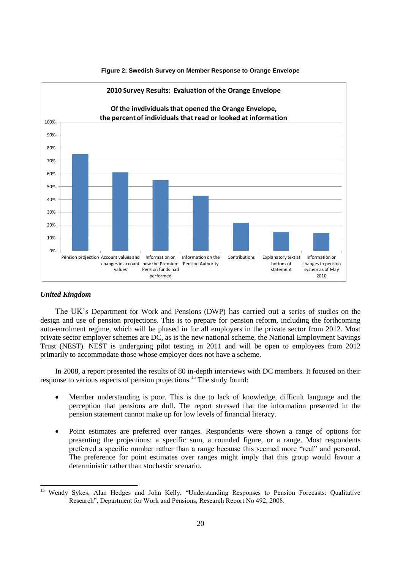

**Figure 2: Swedish Survey on Member Response to Orange Envelope**

## <span id="page-19-0"></span>*United Kingdom*

The UK"s Department for Work and Pensions (DWP) has carried out a series of studies on the design and use of pension projections. This is to prepare for pension reform, including the forthcoming auto-enrolment regime, which will be phased in for all employers in the private sector from 2012. Most private sector employer schemes are DC, as is the new national scheme, the National Employment Savings Trust (NEST). NEST is undergoing pilot testing in 2011 and will be open to employees from 2012 primarily to accommodate those whose employer does not have a scheme.

In 2008, a report presented the results of 80 in-depth interviews with DC members. It focused on their response to various aspects of pension projections.<sup>15</sup> The study found:

- Member understanding is poor. This is due to lack of knowledge, difficult language and the perception that pensions are dull. The report stressed that the information presented in the pension statement cannot make up for low levels of financial literacy.
- Point estimates are preferred over ranges. Respondents were shown a range of options for presenting the projections: a specific sum, a rounded figure, or a range. Most respondents preferred a specific number rather than a range because this seemed more "real" and personal. The preference for point estimates over ranges might imply that this group would favour a deterministic rather than stochastic scenario.

<sup>15</sup> Wendy Sykes, Alan Hedges and John Kelly, "Understanding Responses to Pension Forecasts: Qualitative Research", Department for Work and Pensions, Research Report No 492, 2008.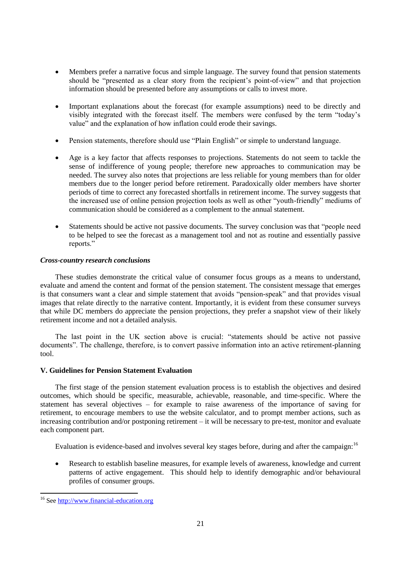- Members prefer a narrative focus and simple language. The survey found that pension statements should be "presented as a clear story from the recipient's point-of-view" and that projection information should be presented before any assumptions or calls to invest more.
- Important explanations about the forecast (for example assumptions) need to be directly and visibly integrated with the forecast itself. The members were confused by the term "today"s value" and the explanation of how inflation could erode their savings.
- Pension statements, therefore should use "Plain English" or simple to understand language.
- Age is a key factor that affects responses to projections. Statements do not seem to tackle the sense of indifference of young people; therefore new approaches to communication may be needed. The survey also notes that projections are less reliable for young members than for older members due to the longer period before retirement. Paradoxically older members have shorter periods of time to correct any forecasted shortfalls in retirement income. The survey suggests that the increased use of online pension projection tools as well as other "youth-friendly" mediums of communication should be considered as a complement to the annual statement.
- Statements should be active not passive documents. The survey conclusion was that "people need to be helped to see the forecast as a management tool and not as routine and essentially passive reports."

## <span id="page-20-0"></span>*Cross-country research conclusions*

These studies demonstrate the critical value of consumer focus groups as a means to understand, evaluate and amend the content and format of the pension statement. The consistent message that emerges is that consumers want a clear and simple statement that avoids "pension-speak" and that provides visual images that relate directly to the narrative content. Importantly, it is evident from these consumer surveys that while DC members do appreciate the pension projections, they prefer a snapshot view of their likely retirement income and not a detailed analysis.

The last point in the UK section above is crucial: "statements should be active not passive documents". The challenge, therefore, is to convert passive information into an active retirement-planning tool.

## <span id="page-20-1"></span>**V. Guidelines for Pension Statement Evaluation**

The first stage of the pension statement evaluation process is to establish the objectives and desired outcomes, which should be specific, measurable, achievable, reasonable, and time-specific. Where the statement has several objectives – for example to raise awareness of the importance of saving for retirement, to encourage members to use the website calculator, and to prompt member actions, such as increasing contribution and/or postponing retirement – it will be necessary to pre-test, monitor and evaluate each component part.

Evaluation is evidence-based and involves several key stages before, during and after the campaign:<sup>16</sup>

 Research to establish baseline measures, for example levels of awareness, knowledge and current patterns of active engagement. This should help to identify demographic and/or behavioural profiles of consumer groups.

 $\overline{a}$ 

<sup>&</sup>lt;sup>16</sup> See [http://www.financial-education.org](http://www.financial-education.org/)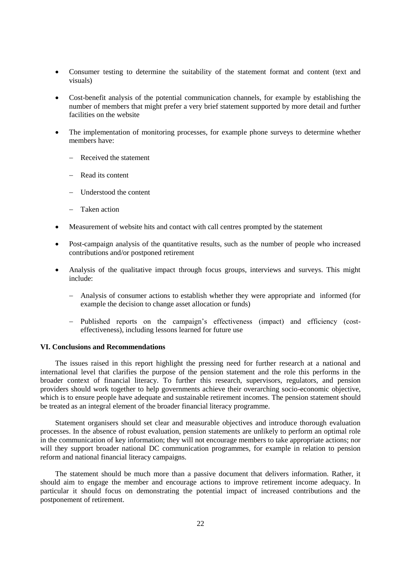- Consumer testing to determine the suitability of the statement format and content (text and visuals)
- Cost-benefit analysis of the potential communication channels, for example by establishing the number of members that might prefer a very brief statement supported by more detail and further facilities on the website
- The implementation of monitoring processes, for example phone surveys to determine whether members have:
	- Received the statement
	- Read its content
	- Understood the content
	- Taken action
- Measurement of website hits and contact with call centres prompted by the statement
- Post-campaign analysis of the quantitative results, such as the number of people who increased contributions and/or postponed retirement
- Analysis of the qualitative impact through focus groups, interviews and surveys. This might include:
	- Analysis of consumer actions to establish whether they were appropriate and informed (for example the decision to change asset allocation or funds)
	- Published reports on the campaign"s effectiveness (impact) and efficiency (costeffectiveness), including lessons learned for future use

## <span id="page-21-0"></span>**VI. Conclusions and Recommendations**

The issues raised in this report highlight the pressing need for further research at a national and international level that clarifies the purpose of the pension statement and the role this performs in the broader context of financial literacy. To further this research, supervisors, regulators, and pension providers should work together to help governments achieve their overarching socio-economic objective, which is to ensure people have adequate and sustainable retirement incomes. The pension statement should be treated as an integral element of the broader financial literacy programme.

Statement organisers should set clear and measurable objectives and introduce thorough evaluation processes. In the absence of robust evaluation, pension statements are unlikely to perform an optimal role in the communication of key information; they will not encourage members to take appropriate actions; nor will they support broader national DC communication programmes, for example in relation to pension reform and national financial literacy campaigns.

The statement should be much more than a passive document that delivers information. Rather, it should aim to engage the member and encourage actions to improve retirement income adequacy. In particular it should focus on demonstrating the potential impact of increased contributions and the postponement of retirement.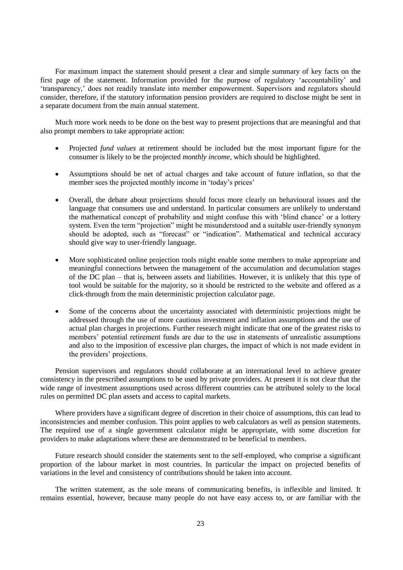For maximum impact the statement should present a clear and simple summary of key facts on the first page of the statement. Information provided for the purpose of regulatory "accountability" and "transparency," does not readily translate into member empowerment. Supervisors and regulators should consider, therefore, if the statutory information pension providers are required to disclose might be sent in a separate document from the main annual statement.

Much more work needs to be done on the best way to present projections that are meaningful and that also prompt members to take appropriate action:

- Projected *fund values* at retirement should be included but the most important figure for the consumer is likely to be the projected *monthly income*, which should be highlighted.
- Assumptions should be net of actual charges and take account of future inflation, so that the member sees the projected monthly income in 'today's prices'
- Overall, the debate about projections should focus more clearly on behavioural issues and the language that consumers use and understand. In particular consumers are unlikely to understand the mathematical concept of probability and might confuse this with "blind chance" or a lottery system. Even the term "projection" might be misunderstood and a suitable user-friendly synonym should be adopted, such as "forecast" or "indication". Mathematical and technical accuracy should give way to user-friendly language.
- More sophisticated online projection tools might enable some members to make appropriate and meaningful connections between the management of the accumulation and decumulation stages of the DC plan – that is, between assets and liabilities. However, it is unlikely that this type of tool would be suitable for the majority, so it should be restricted to the website and offered as a click-through from the main deterministic projection calculator page.
- Some of the concerns about the uncertainty associated with deterministic projections might be addressed through the use of more cautious investment and inflation assumptions and the use of actual plan charges in projections. Further research might indicate that one of the greatest risks to members" potential retirement funds are due to the use in statements of unrealistic assumptions and also to the imposition of excessive plan charges, the impact of which is not made evident in the providers" projections.

Pension supervisors and regulators should collaborate at an international level to achieve greater consistency in the prescribed assumptions to be used by private providers. At present it is not clear that the wide range of investment assumptions used across different countries can be attributed solely to the local rules on permitted DC plan assets and access to capital markets.

Where providers have a significant degree of discretion in their choice of assumptions, this can lead to inconsistencies and member confusion. This point applies to web calculators as well as pension statements. The required use of a single government calculator might be appropriate, with some discretion for providers to make adaptations where these are demonstrated to be beneficial to members.

Future research should consider the statements sent to the self-employed, who comprise a significant proportion of the labour market in most countries. In particular the impact on projected benefits of variations in the level and consistency of contributions should be taken into account.

The written statement, as the sole means of communicating benefits, is inflexible and limited. It remains essential, however, because many people do not have easy access to, or are familiar with the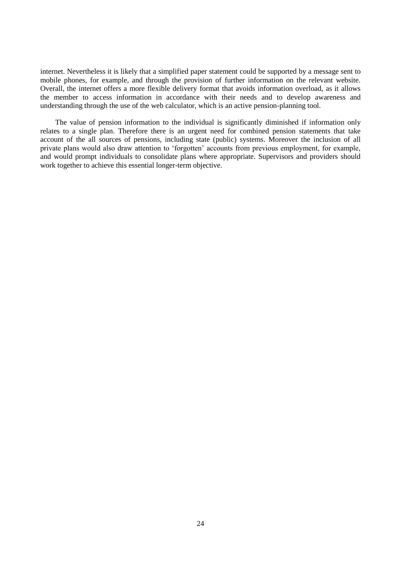internet. Nevertheless it is likely that a simplified paper statement could be supported by a message sent to mobile phones, for example, and through the provision of further information on the relevant website. Overall, the internet offers a more flexible delivery format that avoids information overload, as it allows the member to access information in accordance with their needs and to develop awareness and understanding through the use of the web calculator, which is an active pension-planning tool.

The value of pension information to the individual is significantly diminished if information only relates to a single plan. Therefore there is an urgent need for combined pension statements that take account of the all sources of pensions, including state (public) systems. Moreover the inclusion of all private plans would also draw attention to 'forgotten' accounts from previous employment, for example, and would prompt individuals to consolidate plans where appropriate. Supervisors and providers should work together to achieve this essential longer-term objective.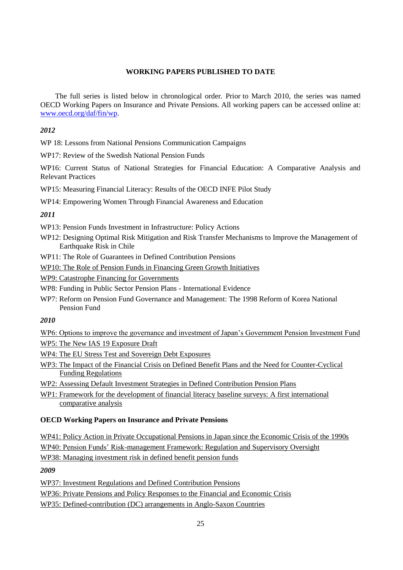# **WORKING PAPERS PUBLISHED TO DATE**

The full series is listed below in chronological order. Prior to March 2010, the series was named OECD Working Papers on Insurance and Private Pensions. All working papers can be accessed online at: [www.oecd.org/daf/fin/wp.](http://www.oecd.org/daf/fin/wp)

*2012*

WP 18: Lessons from National Pensions Communication Campaigns

WP17: Review of the Swedish National Pension Funds

WP16: Current Status of National Strategies for Financial Education: A Comparative Analysis and Relevant Practices

WP15: Measuring Financial Literacy: Results of the OECD INFE Pilot Study

WP14: Empowering Women Through Financial Awareness and Education

*2011*

WP13: Pension Funds Investment in Infrastructure: Policy Actions

- WP12: Designing Optimal Risk Mitigation and Risk Transfer Mechanisms to Improve the Management of Earthquake Risk in Chile
- WP11: The Role of Guarantees in Defined Contribution Pensions
- [WP10: The Role of Pension Funds in Financing Green Growth Initiatives](http://dx.doi.org/10.1787/5kg58j1lwdjd-en)

[WP9: Catastrophe Financing for Governments](http://dx.doi.org/10.1787/5kgcjf7wkvhb-en)

WP8: Funding in Public Sector Pension Plans - International Evidence

WP7: Reform on Pension Fund Governance and Management: The 1998 Reform of Korea National Pension Fund

*2010*

```
WP6: Options to improve the governance and investment of Japan"s Government Pension Investment Fund
```
- [WP5: The New IAS 19 Exposure Draft](http://www.oecd.org/dataoecd/22/8/45961579.pdf)
- [WP4: The EU Stress Test and Sovereign Debt Exposures](http://www.oecd.org/dataoecd/17/57/45820698.pdf)
- [WP3: The Impact of the Financial Crisis on Defined Benefit Plans and the Need for Counter-Cyclical](http://www.oecd.org/dataoecd/22/11/45694491.pdf)  [Funding Regulations](http://www.oecd.org/dataoecd/22/11/45694491.pdf)

[WP2: Assessing Default Investment Strategies in Defined Contribution Pension Plans](http://www.oecd.org/dataoecd/22/63/45390367.pdf)

[WP1: Framework for the development of financial literacy baseline surveys: A first international](http://www.oecd.org/dataoecd/4/29/45153314.pdf)  [comparative analysis](http://www.oecd.org/dataoecd/4/29/45153314.pdf)

# **OECD Working Papers on Insurance and Private Pensions**

[WP41: Policy Action in Private Occupational Pensions in Japan since the Economic Crisis of the 1990s](http://www.oecd.org/dataoecd/44/53/44862093.pdf)

[WP40: Pension Funds" Risk-management Framework: Regulation and Supervisory Oversight](http://www.oecd.org/dataoecd/35/43/44633539.pdf) [WP38: Managing investment risk in defined benefit pension funds](http://www.oecd.org/dataoecd/49/17/44899253.pdf)

*2009*

[WP37: Investment Regulations and Defined Contribution Pensions](http://www.oecd.org/dataoecd/38/15/43347646.pdf)

[WP36: Private Pensions and Policy Responses to the Financial and Economic Crisis](http://www.oecd.org/dataoecd/37/54/42601323.pdf)

[WP35: Defined-contribution \(DC\) arrangements in Anglo-Saxon Countries](http://www.oecd.org/dataoecd/37/53/42601249.pdf)